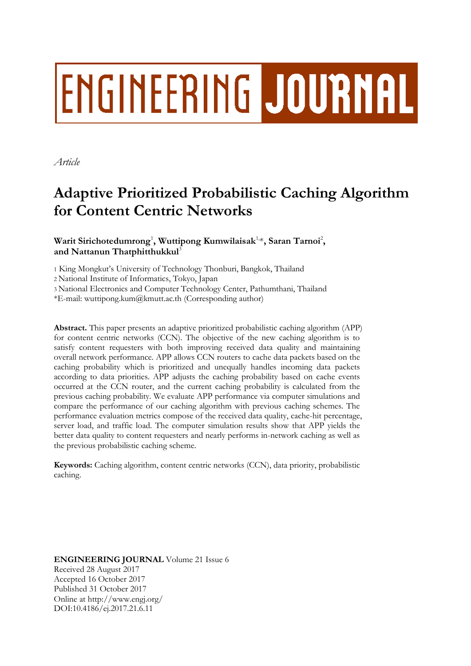# **ENGINEERING JOURNAL**

*Article*

# **Adaptive Prioritized Probabilistic Caching Algorithm for Content Centric Networks**

# **Warit Sirichotedumrong**<sup>1</sup> **, Wuttipong Kumwilaisak**1, \***, Saran Tarnoi**<sup>2</sup> **, and Nattanun Thatphitthukkul**<sup>3</sup>

1 King Mongkut's University of Technology Thonburi, Bangkok, Thailand

2 National Institute of Informatics, Tokyo, Japan

3 National Electronics and Computer Technology Center, Pathumthani, Thailand

\*E-mail: wuttipong.kum@kmutt.ac.th (Corresponding author)

**Abstract.** This paper presents an adaptive prioritized probabilistic caching algorithm (APP) for content centric networks (CCN). The objective of the new caching algorithm is to satisfy content requesters with both improving received data quality and maintaining overall network performance. APP allows CCN routers to cache data packets based on the caching probability which is prioritized and unequally handles incoming data packets according to data priorities. APP adjusts the caching probability based on cache events occurred at the CCN router, and the current caching probability is calculated from the previous caching probability. We evaluate APP performance via computer simulations and compare the performance of our caching algorithm with previous caching schemes. The performance evaluation metrics compose of the received data quality, cache-hit percentage, server load, and traffic load. The computer simulation results show that APP yields the better data quality to content requesters and nearly performs in-network caching as well as the previous probabilistic caching scheme.

**Keywords:** Caching algorithm, content centric networks (CCN), data priority, probabilistic caching.

**ENGINEERING JOURNAL** Volume 21 Issue 6 Received 28 August 2017 Accepted 16 October 2017 Published 31 October 2017 Online at http://www.engj.org/ DOI:10.4186/ej.2017.21.6.11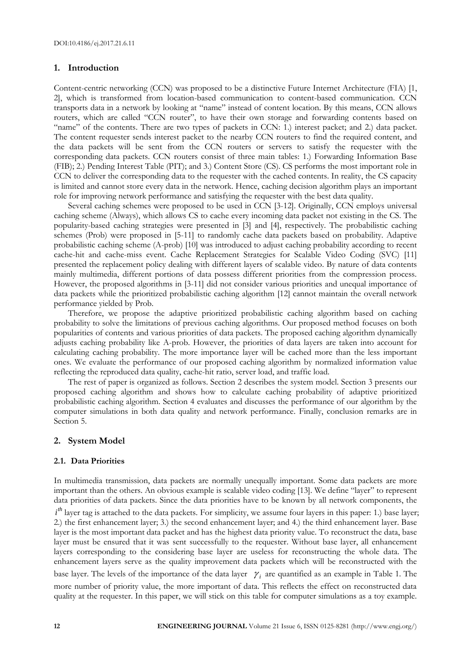#### **1. Introduction**

Content-centric networking (CCN) was proposed to be a distinctive Future Internet Architecture (FIA) [1, 2], which is transformed from location-based communication to content-based communication. CCN transports data in a network by looking at "name" instead of content location. By this means, CCN allows routers, which are called "CCN router", to have their own storage and forwarding contents based on "name" of the contents. There are two types of packets in CCN: 1.) interest packet; and 2.) data packet. The content requester sends interest packet to the nearby CCN routers to find the required content, and the data packets will be sent from the CCN routers or servers to satisfy the requester with the corresponding data packets. CCN routers consist of three main tables: 1.) Forwarding Information Base (FIB); 2.) Pending Interest Table (PIT); and 3.) Content Store (CS). CS performs the most important role in CCN to deliver the corresponding data to the requester with the cached contents. In reality, the CS capacity is limited and cannot store every data in the network. Hence, caching decision algorithm plays an important role for improving network performance and satisfying the requester with the best data quality.

Several caching schemes were proposed to be used in CCN [3-12]. Originally, CCN employs universal caching scheme (Always), which allows CS to cache every incoming data packet not existing in the CS. The popularity-based caching strategies were presented in [3] and [4], respectively. The probabilistic caching schemes (Prob) were proposed in [5-11] to randomly cache data packets based on probability. Adaptive probabilistic caching scheme (A-prob) [10] was introduced to adjust caching probability according to recent cache-hit and cache-miss event. Cache Replacement Strategies for Scalable Video Coding (SVC) [11] presented the replacement policy dealing with different layers of scalable video. By nature of data contents mainly multimedia, different portions of data possess different priorities from the compression process. However, the proposed algorithms in [3-11] did not consider various priorities and unequal importance of data packets while the prioritized probabilistic caching algorithm [12] cannot maintain the overall network performance yielded by Prob.

Therefore, we propose the adaptive prioritized probabilistic caching algorithm based on caching probability to solve the limitations of previous caching algorithms. Our proposed method focuses on both popularities of contents and various priorities of data packets. The proposed caching algorithm dynamically adjusts caching probability like A-prob. However, the priorities of data layers are taken into account for calculating caching probability. The more importance layer will be cached more than the less important ones. We evaluate the performance of our proposed caching algorithm by normalized information value reflecting the reproduced data quality, cache-hit ratio, server load, and traffic load.

The rest of paper is organized as follows. Section 2 describes the system model. Section 3 presents our proposed caching algorithm and shows how to calculate caching probability of adaptive prioritized probabilistic caching algorithm. Section 4 evaluates and discusses the performance of our algorithm by the computer simulations in both data quality and network performance. Finally, conclusion remarks are in Section 5.

#### **2. System Model**

#### **2.1. Data Priorities**

In multimedia transmission, data packets are normally unequally important. Some data packets are more important than the others. An obvious example is scalable video coding [13]. We define "layer" to represent data priorities of data packets. Since the data priorities have to be known by all network components, the *i*<sup>th</sup> layer tag is attached to the data packets. For simplicity, we assume four layers in this paper: 1.) base layer; 2.) the first enhancement layer; 3.) the second enhancement layer; and 4.) the third enhancement layer. Base layer is the most important data packet and has the highest data priority value. To reconstruct the data, base layer must be ensured that it was sent successfully to the requester. Without base layer, all enhancement layers corresponding to the considering base layer are useless for reconstructing the whole data. The enhancement layers serve as the quality improvement data packets which will be reconstructed with the base layer. The levels of the importance of the data layer  $\gamma_i$  are quantified as an example in Table 1. The more number of priority value, the more important of data. This reflects the effect on reconstructed data quality at the requester. In this paper, we will stick on this table for computer simulations as a toy example.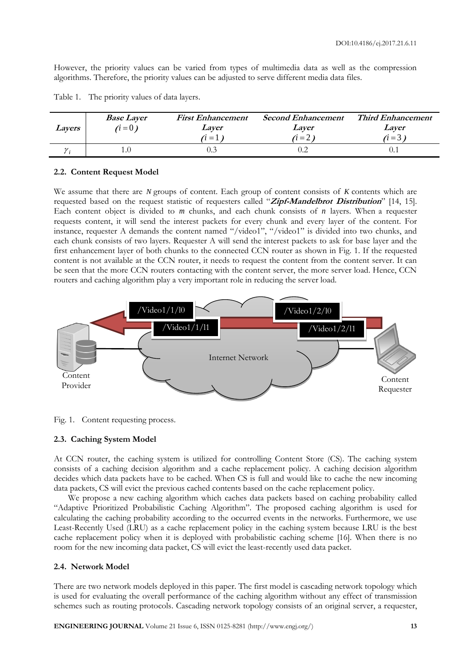However, the priority values can be varied from types of multimedia data as well as the compression algorithms. Therefore, the priority values can be adjusted to serve different media data files.

| Layers | <b>Base Layer</b><br>$(i=0)$ | <b>First Enhancement</b><br>Laver<br>$\ddot{i} =$ | <b>Second Enhancement</b><br>Laver<br>$\dot{i} = 2$ ) | <b>Third Enhancement</b><br>Laver<br>$\lambda$ = 3 $\lambda$ |
|--------|------------------------------|---------------------------------------------------|-------------------------------------------------------|--------------------------------------------------------------|
|        |                              |                                                   |                                                       |                                                              |

Table 1. The priority values of data layers.

## **2.2. Content Request Model**

We assume that there are *N* groups of content. Each group of content consists of *K* contents which are requested based on the request statistic of requesters called "**Zipf-Mandelbrot Distribution**" [14, 15]. Each content object is divided to *m* chunks, and each chunk consists of *n* layers. When a requester requests content, it will send the interest packets for every chunk and every layer of the content. For instance, requester A demands the content named "/video1", "/video1" is divided into two chunks, and each chunk consists of two layers. Requester A will send the interest packets to ask for base layer and the first enhancement layer of both chunks to the connected CCN router as shown in Fig. 1. If the requested content is not available at the CCN router, it needs to request the content from the content server. It can be seen that the more CCN routers contacting with the content server, the more server load. Hence, CCN routers and caching algorithm play a very important role in reducing the server load.



Fig. 1. Content requesting process.

#### **2.3. Caching System Model**

At CCN router, the caching system is utilized for controlling Content Store (CS). The caching system consists of a caching decision algorithm and a cache replacement policy. A caching decision algorithm decides which data packets have to be cached. When CS is full and would like to cache the new incoming data packets, CS will evict the previous cached contents based on the cache replacement policy.

We propose a new caching algorithm which caches data packets based on caching probability called "Adaptive Prioritized Probabilistic Caching Algorithm". The proposed caching algorithm is used for calculating the caching probability according to the occurred events in the networks. Furthermore, we use Least-Recently Used (LRU) as a cache replacement policy in the caching system because LRU is the best cache replacement policy when it is deployed with probabilistic caching scheme [16]. When there is no room for the new incoming data packet, CS will evict the least-recently used data packet.

#### **2.4. Network Model**

There are two network models deployed in this paper. The first model is cascading network topology which is used for evaluating the overall performance of the caching algorithm without any effect of transmission schemes such as routing protocols. Cascading network topology consists of an original server, a requester,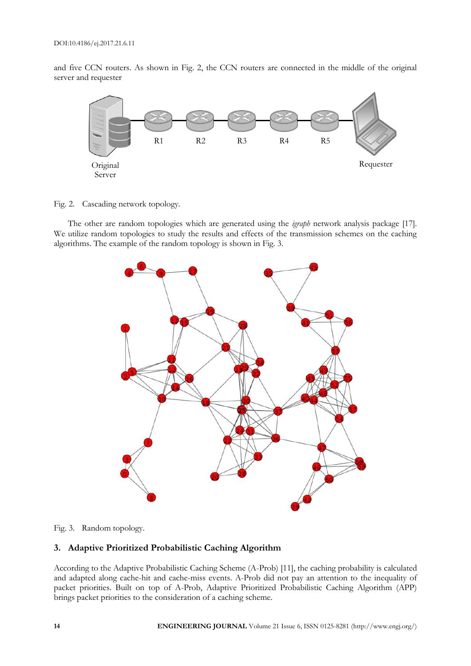and five CCN routers. As shown in Fig. 2, the CCN routers are connected in the middle of the original server and requester



Fig. 2. Cascading network topology.

The other are random topologies which are generated using the *igraph* network analysis package [17]. We utilize random topologies to study the results and effects of the transmission schemes on the caching algorithms. The example of the random topology is shown in Fig. 3.



Fig. 3. Random topology.

# **3. Adaptive Prioritized Probabilistic Caching Algorithm**

According to the Adaptive Probabilistic Caching Scheme (A-Prob) [11], the caching probability is calculated and adapted along cache-hit and cache-miss events. A-Prob did not pay an attention to the inequality of packet priorities. Built on top of A-Prob, Adaptive Prioritized Probabilistic Caching Algorithm (APP) brings packet priorities to the consideration of a caching scheme.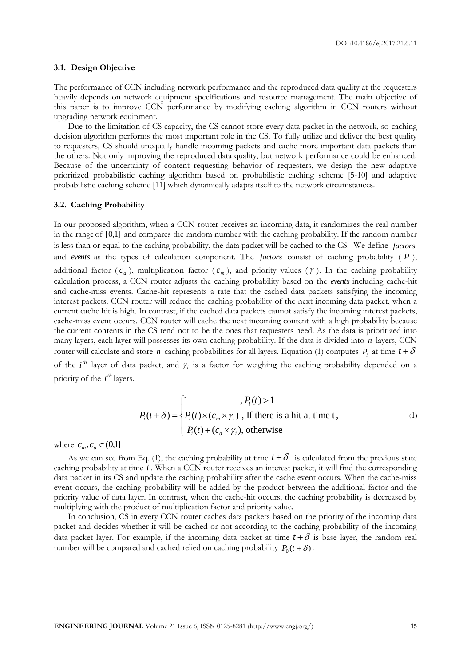#### **3.1. Design Objective**

The performance of CCN including network performance and the reproduced data quality at the requesters heavily depends on network equipment specifications and resource management. The main objective of this paper is to improve CCN performance by modifying caching algorithm in CCN routers without upgrading network equipment.

Due to the limitation of CS capacity, the CS cannot store every data packet in the network, so caching decision algorithm performs the most important role in the CS. To fully utilize and deliver the best quality to requesters, CS should unequally handle incoming packets and cache more important data packets than the others. Not only improving the reproduced data quality, but network performance could be enhanced. Because of the uncertainty of content requesting behavior of requesters, we design the new adaptive prioritized probabilistic caching algorithm based on probabilistic caching scheme [5-10] and adaptive probabilistic caching scheme [11] which dynamically adapts itself to the network circumstances.

#### **3.2. Caching Probability**

In our proposed algorithm, when a CCN router receives an incoming data, it randomizes the real number in the range of [0,1] and compares the random number with the caching probability. If the random number is less than or equal to the caching probability, the data packet will be cached to the CS. We define *factors* and events as the types of calculation component. The factors consist of caching probability (P), additional factor  $(c_a)$ , multiplication factor  $(c_m)$ , and priority values  $(\gamma)$ . In the caching probability calculation process, a CCN router adjusts the caching probability based on the *events* including cache-hit and cache-miss events. Cache-hit represents a rate that the cached data packets satisfying the incoming interest packets. CCN router will reduce the caching probability of the next incoming data packet, when a current cache hit is high. In contrast, if the cached data packets cannot satisfy the incoming interest packets, cache-miss event occurs. CCN router will cache the next incoming content with a high probability because the current contents in the CS tend not to be the ones that requesters need. As the data is prioritized into many layers, each layer will possesses its own caching probability. If the data is divided into *n* layers, CCN router will calculate and store *n* caching probabilities for all layers. Equation (1) computes  $P_i$  at time  $t + \delta$ of the  $i^{\text{th}}$  layer of data packet, and  $\gamma_i$  is a factor for weighing the caching probability depended on a priority of the *i*<sup>th</sup> layers.

$$
P_i(t+\delta) = \begin{cases} 1, & P_i(t) > 1 \\ P_i(t) \times (c_m \times \gamma_i), & \text{If there is a hit at time } t, \\ P_i(t) + (c_a \times \gamma_i), & \text{otherwise} \end{cases}
$$
 (1)

where  $c_m$ ,  $c_a \in (0,1]$ .

As we can see from Eq. (1), the caching probability at time  $t + \delta$  is calculated from the previous state caching probability at time *t* . When a CCN router receives an interest packet, it will find the corresponding data packet in its CS and update the caching probability after the cache event occurs. When the cache-miss event occurs, the caching probability will be added by the product between the additional factor and the priority value of data layer. In contrast, when the cache-hit occurs, the caching probability is decreased by multiplying with the product of multiplication factor and priority value.

In conclusion, CS in every CCN router caches data packets based on the priority of the incoming data packet and decides whether it will be cached or not according to the caching probability of the incoming data packet layer. For example, if the incoming data packet at time  $t + \delta$  is base layer, the random real number will be compared and cached relied on caching probability  $P_0(t + \delta)$ .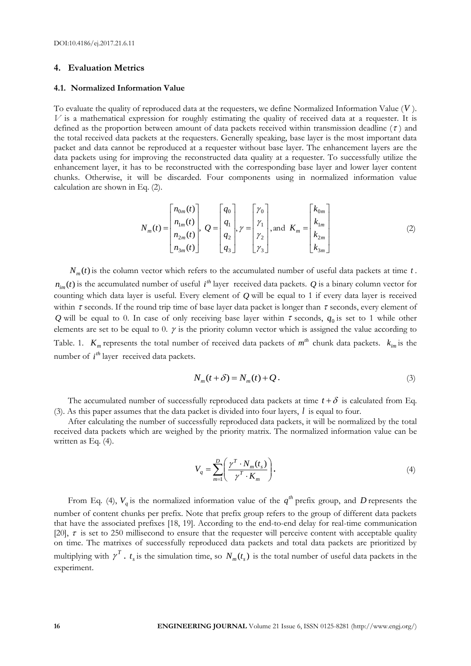#### **4. Evaluation Metrics**

#### **4.1. Normalized Information Value**

To evaluate the quality of reproduced data at the requesters, we define Normalized Information Value ( *V* ). *V* is a mathematical expression for roughly estimating the quality of received data at a requester. It is defined as the proportion between amount of data packets received within transmission deadline  $(\tau)$  and the total received data packets at the requesters. Generally speaking, base layer is the most important data packet and data cannot be reproduced at a requester without base layer. The enhancement layers are the data packets using for improving the reconstructed data quality at a requester. To successfully utilize the enhancement layer, it has to be reconstructed with the corresponding base layer and lower layer content chunks. Otherwise, it will be discarded. Four components using in normalized information value calculation are shown in Eq. (2).

$$
N_m(t) = \begin{bmatrix} n_{0m}(t) \\ n_{1m}(t) \\ n_{2m}(t) \\ n_{3m}(t) \end{bmatrix}, Q = \begin{bmatrix} q_0 \\ q_1 \\ q_2 \\ q_3 \end{bmatrix}, \gamma = \begin{bmatrix} \gamma_0 \\ \gamma_1 \\ \gamma_2 \\ \gamma_3 \end{bmatrix}, \text{and } K_m = \begin{bmatrix} k_{0m} \\ k_{1m} \\ k_{2m} \\ k_{3m} \end{bmatrix}
$$
(2)

 $N_m(t)$  is the column vector which refers to the accumulated number of useful data packets at time  $t$ .  $n_{im}(t)$  is the accumulated number of useful  $i^{th}$  layer received data packets.  $Q$  is a binary column vector for counting which data layer is useful. Every element of *Q* will be equal to 1 if every data layer is received within  $\tau$  seconds. If the round trip time of base layer data packet is longer than  $\tau$  seconds, every element of Q will be equal to 0. In case of only receiving base layer within  $\tau$  seconds,  $q_0$  is set to 1 while other elements are set to be equal to 0.  $\gamma$  is the priority column vector which is assigned the value according to Table. 1.  $K_m$  represents the total number of received data packets of  $m^{th}$  chunk data packets.  $k_{im}$  is the number of *i*<sup>th</sup> layer received data packets.

$$
N_m(t+\delta) = N_m(t) + Q.
$$
\n(3)

The accumulated number of successfully reproduced data packets at time  $t + \delta$  is calculated from Eq. (3). As this paper assumes that the data packet is divided into four layers,  $l$  is equal to four.

After calculating the number of successfully reproduced data packets, it will be normalized by the total received data packets which are weighed by the priority matrix. The normalized information value can be written as Eq. (4).

$$
V_q = \sum_{m=1}^{D} \left( \frac{\gamma^T \cdot N_m(t_s)}{\gamma^T \cdot K_m} \right). \tag{4}
$$

From Eq. (4),  $V_q$  is the normalized information value of the  $q^{th}$  prefix group, and *D* represents the number of content chunks per prefix. Note that prefix group refers to the group of different data packets that have the associated prefixes [18, 19]. According to the end-to-end delay for real-time communication [20],  $\tau$  is set to 250 millisecond to ensure that the requester will perceive content with acceptable quality on time. The matrixes of successfully reproduced data packets and total data packets are prioritized by multiplying with  $\gamma^T$ .  $t_s$  is the simulation time, so  $N_m(t_s)$  is the total number of useful data packets in the experiment.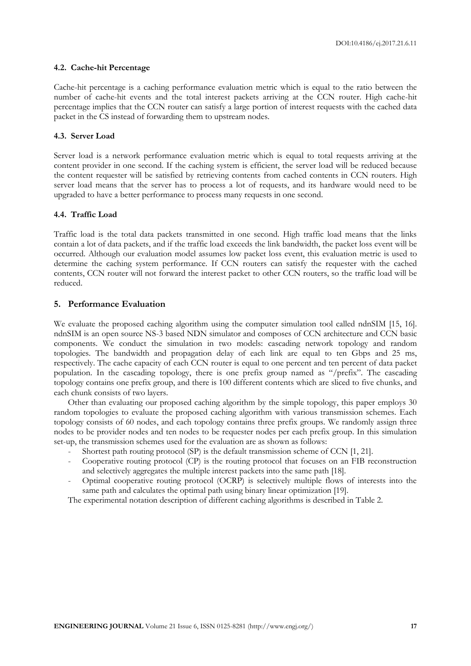#### **4.2. Cache-hit Percentage**

Cache-hit percentage is a caching performance evaluation metric which is equal to the ratio between the number of cache-hit events and the total interest packets arriving at the CCN router. High cache-hit percentage implies that the CCN router can satisfy a large portion of interest requests with the cached data packet in the CS instead of forwarding them to upstream nodes.

# **4.3. Server Load**

Server load is a network performance evaluation metric which is equal to total requests arriving at the content provider in one second. If the caching system is efficient, the server load will be reduced because the content requester will be satisfied by retrieving contents from cached contents in CCN routers. High server load means that the server has to process a lot of requests, and its hardware would need to be upgraded to have a better performance to process many requests in one second.

#### **4.4. Traffic Load**

Traffic load is the total data packets transmitted in one second. High traffic load means that the links contain a lot of data packets, and if the traffic load exceeds the link bandwidth, the packet loss event will be occurred. Although our evaluation model assumes low packet loss event, this evaluation metric is used to determine the caching system performance. If CCN routers can satisfy the requester with the cached contents, CCN router will not forward the interest packet to other CCN routers, so the traffic load will be reduced.

#### **5. Performance Evaluation**

We evaluate the proposed caching algorithm using the computer simulation tool called ndnSIM [15, 16]. ndnSIM is an open source NS-3 based NDN simulator and composes of CCN architecture and CCN basic components. We conduct the simulation in two models: cascading network topology and random topologies. The bandwidth and propagation delay of each link are equal to ten Gbps and 25 ms, respectively. The cache capacity of each CCN router is equal to one percent and ten percent of data packet population. In the cascading topology, there is one prefix group named as "/prefix". The cascading topology contains one prefix group, and there is 100 different contents which are sliced to five chunks, and each chunk consists of two layers.

Other than evaluating our proposed caching algorithm by the simple topology, this paper employs 30 random topologies to evaluate the proposed caching algorithm with various transmission schemes. Each topology consists of 60 nodes, and each topology contains three prefix groups. We randomly assign three nodes to be provider nodes and ten nodes to be requester nodes per each prefix group. In this simulation set-up, the transmission schemes used for the evaluation are as shown as follows:

- Shortest path routing protocol (SP) is the default transmission scheme of CCN [1, 21].
- Cooperative routing protocol (CP) is the routing protocol that focuses on an FIB reconstruction and selectively aggregates the multiple interest packets into the same path [18].
- Optimal cooperative routing protocol (OCRP) is selectively multiple flows of interests into the same path and calculates the optimal path using binary linear optimization [19].

The experimental notation description of different caching algorithms is described in Table 2.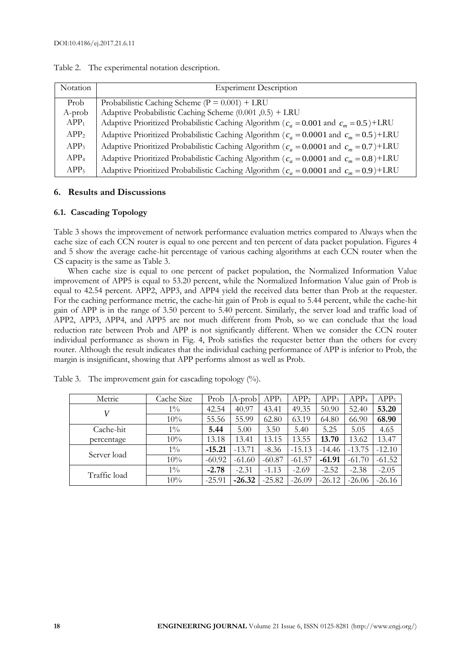| Notation         | <b>Experiment Description</b>                                                               |
|------------------|---------------------------------------------------------------------------------------------|
| Prob             | Probabilistic Caching Scheme ( $P = 0.001$ ) + LRU                                          |
| A-prob           | Adaptive Probabilistic Caching Scheme (0.001,0.5) + LRU                                     |
| APP <sub>1</sub> | Adaptive Prioritized Probabilistic Caching Algorithm ( $c_a = 0.001$ and $c_m = 0.5$ )+LRU  |
| APP <sub>2</sub> | Adaptive Prioritized Probabilistic Caching Algorithm ( $c_a$ = 0.0001 and $c_m$ = 0.5)+LRU  |
| APP <sub>3</sub> | Adaptive Prioritized Probabilistic Caching Algorithm ( $c_a = 0.0001$ and $c_m = 0.7$ )+LRU |
| APP <sub>4</sub> | Adaptive Prioritized Probabilistic Caching Algorithm ( $c_a$ = 0.0001 and $c_m$ = 0.8)+LRU  |
| APP <sub>5</sub> | Adaptive Prioritized Probabilistic Caching Algorithm ( $c_a = 0.0001$ and $c_m = 0.9$ )+LRU |

Table 2. The experimental notation description.

# **6. Results and Discussions**

#### **6.1. Cascading Topology**

Table 3 shows the improvement of network performance evaluation metrics compared to Always when the cache size of each CCN router is equal to one percent and ten percent of data packet population. Figures 4 and 5 show the average cache-hit percentage of various caching algorithms at each CCN router when the CS capacity is the same as Table 3.

When cache size is equal to one percent of packet population, the Normalized Information Value improvement of APP5 is equal to 53.20 percent, while the Normalized Information Value gain of Prob is equal to 42.54 percent. APP2, APP3, and APP4 yield the received data better than Prob at the requester. For the caching performance metric, the cache-hit gain of Prob is equal to 5.44 percent, while the cache-hit gain of APP is in the range of 3.50 percent to 5.40 percent. Similarly, the server load and traffic load of APP2, APP3, APP4, and APP5 are not much different from Prob, so we can conclude that the load reduction rate between Prob and APP is not significantly different. When we consider the CCN router individual performance as shown in Fig. 4, Prob satisfies the requester better than the others for every router. Although the result indicates that the individual caching performance of APP is inferior to Prob, the margin is insignificant, showing that APP performs almost as well as Prob.

| Metric       | Cache Size | Prob     | A-prob   | APP <sub>1</sub> | APP <sub>2</sub> | APP <sub>3</sub> | APP <sub>4</sub> | APP <sub>5</sub> |
|--------------|------------|----------|----------|------------------|------------------|------------------|------------------|------------------|
|              | $1\%$      | 42.54    | 40.97    | 43.41            | 49.35            | 50.90            | 52.40            | 53.20            |
|              | 10%        | 55.56    | 55.99    | 62.80            | 63.19            | 64.80            | 66.90            | 68.90            |
| Cache-hit    | $1\%$      | 5.44     | 5.00     | 3.50             | 5.40             | 5.25             | 5.05             | 4.65             |
| percentage   | 10%        | 13.18    | 13.41    | 13.15            | 13.55            | 13.70            | 13.62            | 13.47            |
| Server load  | $1\%$      | $-15.21$ | $-13.71$ | $-8.36$          | $-15.13$         | $-14.46$         | $-13.75$         | $-12.10$         |
|              | 10%        | $-60.92$ | $-61.60$ | $-60.87$         | $-61.57$         | $-61.91$         | $-61.70$         | $-61.52$         |
| Traffic load | $1\%$      | $-2.78$  | $-2.31$  | $-1.13$          | $-2.69$          | $-2.52$          | $-2.38$          | $-2.05$          |
|              | 10%        | $-25.91$ | $-26.32$ | $-25.82$         | $-26.09$         | $-26.12$         | $-26.06$         | $-26.16$         |

Table 3. The improvement gain for cascading topology  $(\%)$ .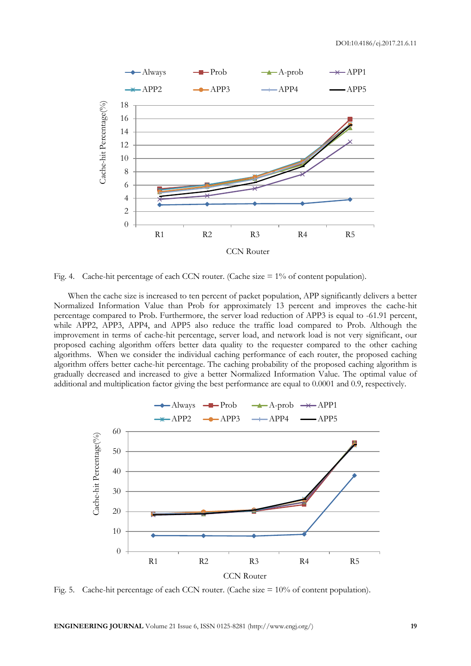

Fig. 4. Cache-hit percentage of each CCN router. (Cache size  $= 1\%$  of content population).

When the cache size is increased to ten percent of packet population, APP significantly delivers a better Normalized Information Value than Prob for approximately 13 percent and improves the cache-hit percentage compared to Prob. Furthermore, the server load reduction of APP3 is equal to -61.91 percent, while APP2, APP3, APP4, and APP5 also reduce the traffic load compared to Prob. Although the improvement in terms of cache-hit percentage, server load, and network load is not very significant, our proposed caching algorithm offers better data quality to the requester compared to the other caching algorithms. When we consider the individual caching performance of each router, the proposed caching algorithm offers better cache-hit percentage. The caching probability of the proposed caching algorithm is gradually decreased and increased to give a better Normalized Information Value. The optimal value of additional and multiplication factor giving the best performance are equal to 0.0001 and 0.9, respectively.



Fig. 5. Cache-hit percentage of each CCN router. (Cache size = 10% of content population).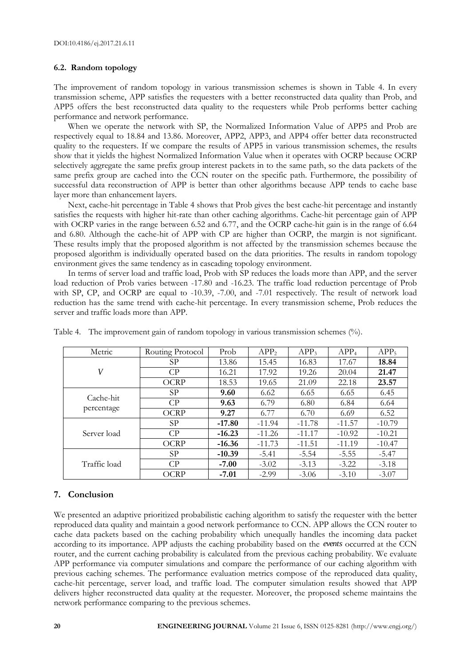# **6.2. Random topology**

The improvement of random topology in various transmission schemes is shown in Table 4. In every transmission scheme, APP satisfies the requesters with a better reconstructed data quality than Prob, and APP5 offers the best reconstructed data quality to the requesters while Prob performs better caching performance and network performance.

When we operate the network with SP, the Normalized Information Value of APP5 and Prob are respectively equal to 18.84 and 13.86. Moreover, APP2, APP3, and APP4 offer better data reconstructed quality to the requesters. If we compare the results of APP5 in various transmission schemes, the results show that it yields the highest Normalized Information Value when it operates with OCRP because OCRP selectively aggregate the same prefix group interest packets in to the same path, so the data packets of the same prefix group are cached into the CCN router on the specific path. Furthermore, the possibility of successful data reconstruction of APP is better than other algorithms because APP tends to cache base layer more than enhancement layers.

Next, cache-hit percentage in Table 4 shows that Prob gives the best cache-hit percentage and instantly satisfies the requests with higher hit-rate than other caching algorithms. Cache-hit percentage gain of APP with OCRP varies in the range between 6.52 and 6.77, and the OCRP cache-hit gain is in the range of 6.64 and 6.80. Although the cache-hit of APP with CP are higher than OCRP, the margin is not significant. These results imply that the proposed algorithm is not affected by the transmission schemes because the proposed algorithm is individually operated based on the data priorities. The results in random topology environment gives the same tendency as in cascading topology environment.

In terms of server load and traffic load, Prob with SP reduces the loads more than APP, and the server load reduction of Prob varies between -17.80 and -16.23. The traffic load reduction percentage of Prob with SP, CP, and OCRP are equal to -10.39, -7.00, and -7.01 respectively. The result of network load reduction has the same trend with cache-hit percentage. In every transmission scheme, Prob reduces the server and traffic loads more than APP.

| Metric       | Routing Protocol | Prob     | APP <sub>2</sub> | APP <sub>3</sub> | APP <sub>4</sub> | APP <sub>5</sub> |
|--------------|------------------|----------|------------------|------------------|------------------|------------------|
|              | SP               | 13.86    | 15.45            | 16.83            | 17.67            | 18.84            |
| V            | CP               | 16.21    | 17.92            | 19.26            | 20.04            | 21.47            |
|              | <b>OCRP</b>      | 18.53    | 19.65            | 21.09            | 22.18            | 23.57            |
| Cache-hit    | SP               | 9.60     | 6.62             | 6.65             | 6.65             | 6.45             |
|              | CP               | 9.63     | 6.79             | 6.80             | 6.84             | 6.64             |
| percentage   | <b>OCRP</b>      | 9.27     | 6.77             | 6.70             | 6.69             | 6.52             |
|              | SP               | $-17.80$ | $-11.94$         | $-11.78$         | $-11.57$         | $-10.79$         |
| Server load  | CP               | $-16.23$ | $-11.26$         | $-11.17$         | $-10.92$         | $-10.21$         |
|              | <b>OCRP</b>      | $-16.36$ | $-11.73$         | $-11.51$         | $-11.19$         | $-10.47$         |
|              | SP               | $-10.39$ | $-5.41$          | $-5.54$          | $-5.55$          | $-5.47$          |
| Traffic load | CP               | $-7.00$  | $-3.02$          | $-3.13$          | $-3.22$          | $-3.18$          |
|              | <b>OCRP</b>      | $-7.01$  | $-2.99$          | $-3.06$          | $-3.10$          | $-3.07$          |

Table 4. The improvement gain of random topology in various transmission schemes (%).

# **7. Conclusion**

We presented an adaptive prioritized probabilistic caching algorithm to satisfy the requester with the better reproduced data quality and maintain a good network performance to CCN. APP allows the CCN router to cache data packets based on the caching probability which unequally handles the incoming data packet according to its importance. APP adjusts the caching probability based on the *events* occurred at the CCN router, and the current caching probability is calculated from the previous caching probability. We evaluate APP performance via computer simulations and compare the performance of our caching algorithm with previous caching schemes. The performance evaluation metrics compose of the reproduced data quality, cache-hit percentage, server load, and traffic load. The computer simulation results showed that APP delivers higher reconstructed data quality at the requester. Moreover, the proposed scheme maintains the network performance comparing to the previous schemes.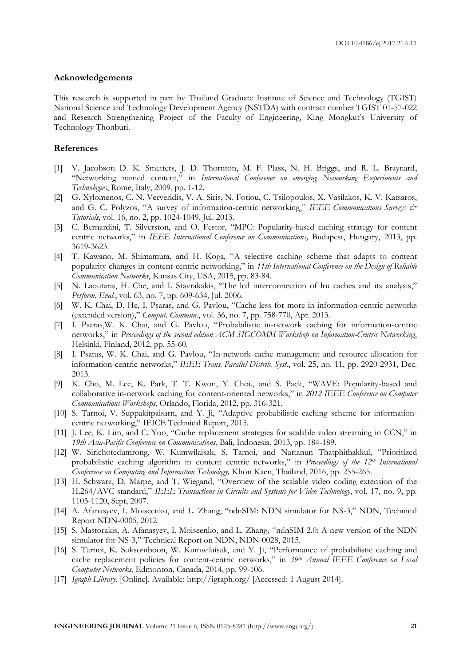#### **Acknowledgements**

This research is supported in part by Thailand Graduate Institute of Science and Technology (TGIST) National Science and Technology Development Agency (NSTDA) with contract number TGIST 01-57-022 and Research Strengthening Project of the Faculty of Engineering, King Mongkut's University of Technology Thonburi.

#### **References**

- [1] V. Jacobson D. K. Smetters, J. D. Thornton, M. F. Plass, N. H. Briggs, and R. L. Braynard, "Networking named content," in *International Conference on emerging Networking Experiments and Technologies*, Rome, Italy, 2009, pp. 1-12.
- [2] G. Xylomenos, C. N. Ververidis, V. A. Siris, N. Fotiou, C. Tsilopoulos, X. Vasilakos, K. V. Katsaros, and G. C. Polyzos, "A survey of information-centric networking," IEEE Communications Surveys & *Tutorials*, vol. 16, no. 2, pp. 1024-1049, Jul. 2013.
- [3] C. Bernardini, T. Silverston, and O. Festor, "MPC: Popularity-based caching strategy for content centric networks," in *IEEE International Conference on Communications,* Budapest, Hungary, 2013, pp. 3619-3623.
- [4] T. Kawano, M. Shimamura, and H. Koga, "A selective caching scheme that adapts to content popularity changes in content-centric networking," in *11th International Conference on the Design of Reliable Communication Networks*, Kansas City, USA, 2015, pp. 83-84.
- [5] N. Laoutaris, H. Che, and I. Stavrakakis, "The lcd interconnection of lru caches and its analysis," *Perform. Eval.*, vol. 63, no. 7, pp. 609-634, Jul. 2006.
- [6] W. K. Chai, D. He, I. Psaras, and G. Pavlou, "Cache less for more in information-centric networks (extended version)," *Comput. Commun.*, vol. 36, no. 7, pp. 758-770, Apr. 2013.
- [7] I. Psaras,W. K. Chai, and G. Pavlou, "Probabilistic in-network caching for information-centric networks," in *Proceedings of the second edition ACM SIGCOMM Workshop on Information-Centric Networking*, Helsinki, Finland, 2012, pp. 55-60.
- [8] I. Psaras, W. K. Chai, and G. Pavlou, "In-network cache management and resource allocation for information-centric networks," *IEEE Trans. Parallel Distrib. Syst.*, vol. 25, no. 11, pp. 2920-2931, Dec. 2013.
- [9] K. Cho, M. Lee, K. Park, T. T. Kwon, Y. Choi., and S. Pack, "WAVE: Popularity-based and collaborative in-network caching for content-oriented networks," in *2012 IEEE Conference on Computer Communications Workshops*, Orlando, Florida, 2012, pp. 316-321.
- [10] S. Tarnoi, V. Suppakitpaisarn, and Y. Ji, "Adaptive probabilistic caching scheme for informationcentric networking," IEICE Technical Report, 2015.
- [11] J. Lee, K. Lim, and C. Yoo, "Cache replacement strategies for scalable video streaming in CCN," in *19th Asia-Pacific Conference on Communications*, Bali, Indonesia, 2013, pp. 184-189.
- [12] W. Sirichotedumrong, W. Kumwilaisak, S. Tarnoi, and Nattanun Thatphithakkul, "Prioritized probabilistic caching algorithm in content centric networks," in *Proceedings of the 12th International Conference on Computing and Information Technology,* Khon Kaen, Thailand, 2016, pp. 255-265.
- [13] H. Schwarz, D. Marpe, and T. Wiegand, "Overview of the scalable video coding extension of the H.264/AVC standard," *IEEE Transactions in Circuits and Systems for Video Technology*, vol. 17, no. 9, pp. 1103-1120, Sept, 2007.
- [14] A. Afanasyev, I. Moiseenko, and L. Zhang, "ndnSIM: NDN simulator for NS-3," NDN, Technical Report NDN-0005, 2012
- [15] S. Mastorakis, A. Afanasyev, I. Moiseenko, and L. Zhang, "ndnSIM 2.0: A new version of the NDN simulator for NS-3," Technical Report on NDN, NDN-0028, 2015.
- [16] S. Tarnoi, K. Suksomboon, W. Kumwilaisak, and Y. Ji, "Performance of probabilistic caching and cache replacement policies for content-centric networks," in *39th Annual IEEE Conference on Local Computer Networks*, Edmonton, Canada, 2014, pp. 99-106.
- [17] *Igraph Library*. [Online]. Available: http://igraph.org/ [Accessed: 1 August 2014].